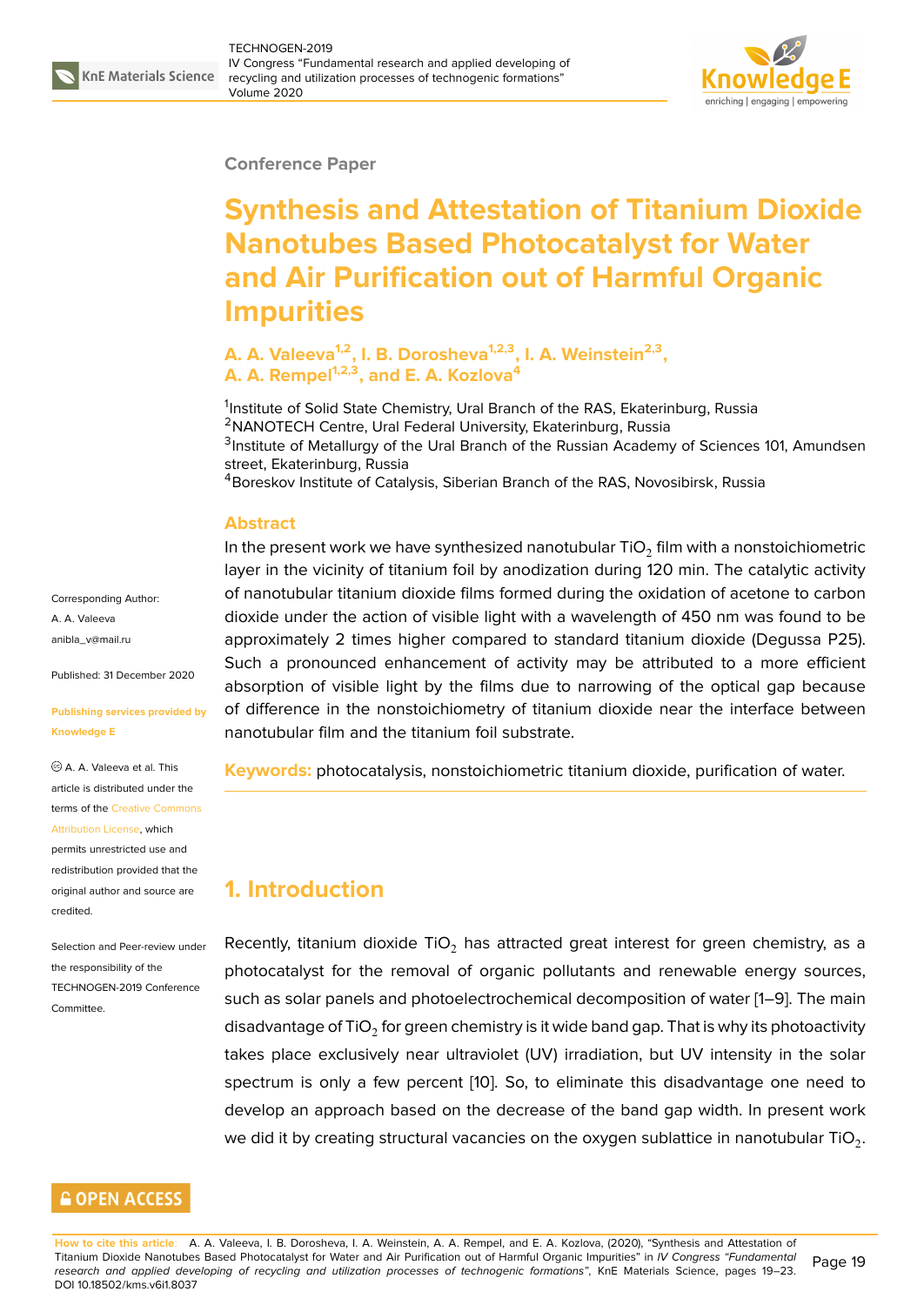

#### **Conference Paper**

# **Synthesis and Attestation of Titanium Dioxide Nanotubes Based Photocatalyst for Water and Air Purification out of Harmful Organic Impurities**

### **A. A. Valeeva1,2, I. B. Dorosheva1,2,3, I. A. Weinstein2,3 , A. A. Rempel1,2,3, and E. A. Kozlova<sup>4</sup>**

<sup>1</sup>Institute of Solid State Chemistry, Ural Branch of the RAS, Ekaterinburg, Russia <sup>2</sup>NANOTECH Centre, Ural Federal University, Ekaterinburg, Russia <sup>3</sup>Institute of Metallurgy of the Ural Branch of the Russian Academy of Sciences 101, Amundsen street, Ekaterinburg, Russia <sup>4</sup>Boreskov Institute of Catalysis, Siberian Branch of the RAS, Novosibirsk, Russia

#### **Abstract**

In the present work we have synthesized nanotubular TiO $_2$  film with a nonstoichiometric layer in the vicinity of titanium foil by anodization during 120 min. The catalytic activity of nanotubular titanium dioxide films formed during the oxidation of acetone to carbon dioxide under the action of visible light with a wavelength of 450 nm was found to be approximately 2 times higher compared to standard titanium dioxide (Degussa P25). Such a pronounced enhancement of activity may be attributed to a more efficient absorption of visible light by the films due to narrowing of the optical gap because of difference in the nonstoichiometry of titanium dioxide near the interface between nanotubular film and the titanium foil substrate.

**Keywords:** photocatalysis, nonstoichiometric titanium dioxide, purification of water.

## **1. Introduction**

Recently, titanium dioxide TiO<sub>2</sub> has attracted great interest for green chemistry, as a photocatalyst for the removal of organic pollutants and renewable energy sources, such as solar panels and photoelectrochemical decomposition of water [1–9]. The main disadvantage of TiO $_2$  for green chemistry is it wide band gap. That is why its photoactivity takes place exclusively near ultraviolet (UV) irradiation, but UV intensity in the solar spectrum is only a few percent [10]. So, to eliminate this disadvantag[e](#page-3-0) [on](#page-4-0)e need to develop an approach based on the decrease of the band gap width. In present work we did it by creating structural vacancies on the oxygen sublattice in nanotubular TiO $_2.$ 

Corresponding Author: A. A. Valeeva anibla\_v@mail.ru

Published: 31 December 2020

#### **[Publishing servic](mailto:anibla_v@mail.ru)es provided by Knowledge E**

A. A. Valeeva et al. This article is distributed under the terms of the Creative Commons Attribution License, which

permits unrestricted use and redistribution provided that the original auth[or and source are](https://creativecommons.org/licenses/by/4.0/) [credited.](https://creativecommons.org/licenses/by/4.0/)

#### Selection and Peer-review under the responsibility of the TECHNOGEN-2019 Conference **Committee**

### **GOPEN ACCESS**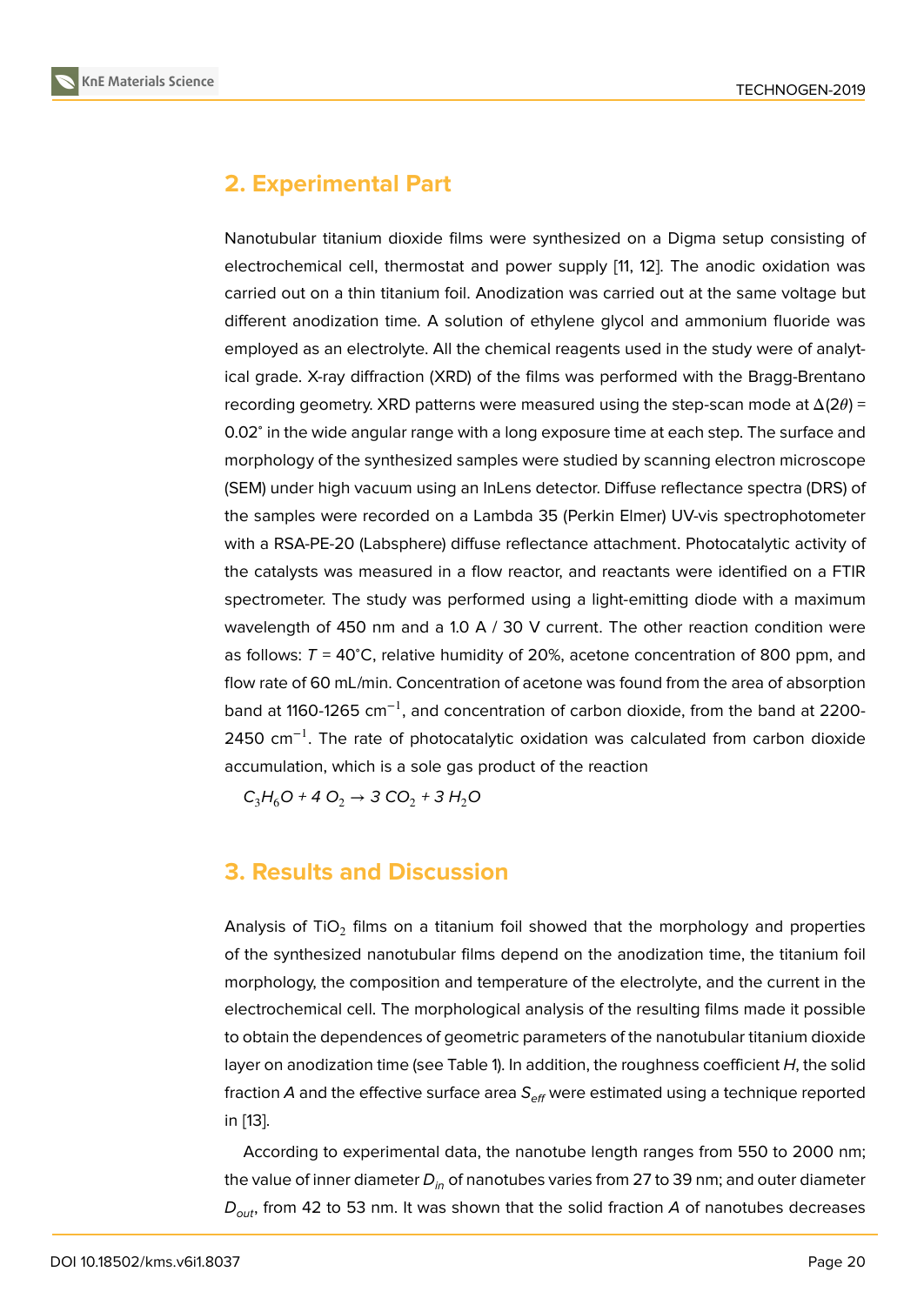# **2. Experimental Part**

Nanotubular titanium dioxide films were synthesized on a Digma setup consisting of electrochemical cell, thermostat and power supply [11, 12]. The anodic oxidation was carried out on a thin titanium foil. Anodization was carried out at the same voltage but different anodization time. A solution of ethylene glycol and ammonium fluoride was employed as an electrolyte. All the chemical reagent[s u](#page-4-1)[sed](#page-4-2) in the study were of analytical grade. X-ray diffraction (XRD) of the films was performed with the Bragg-Brentano recording geometry. XRD patterns were measured using the step-scan mode at  $\Delta(2\theta)$  = 0.02<sup>∘</sup> in the wide angular range with a long exposure time at each step. The surface and morphology of the synthesized samples were studied by scanning electron microscope (SEM) under high vacuum using an InLens detector. Diffuse reflectance spectra (DRS) of the samples were recorded on a Lambda 35 (Perkin Elmer) UV-vis spectrophotometer with a RSA-PE-20 (Labsphere) diffuse reflectance attachment. Photocatalytic activity of the catalysts was measured in a flow reactor, and reactants were identified on a FTIR spectrometer. The study was performed using a light-emitting diode with a maximum wavelength of 450 nm and a 1.0 A / 30 V current. The other reaction condition were as follows: *T* = 40<sup>∘</sup>C, relative humidity of 20%, acetone concentration of 800 ppm, and flow rate of 60 mL/min. Concentration of acetone was found from the area of absorption band at 1160-1265 cm<sup>-1</sup>, and concentration of carbon dioxide, from the band at 2200-2450 cm<sup>-1</sup>. The rate of photocatalytic oxidation was calculated from carbon dioxide accumulation, which is a sole gas product of the reaction

 $C_3H_6O + 4O_2 \rightarrow 3 CO_2 + 3 H_2O$ 

## **3. Results and Discussion**

Analysis of TiO $_2$  films on a titanium foil showed that the morphology and properties of the synthesized nanotubular films depend on the anodization time, the titanium foil morphology, the composition and temperature of the electrolyte, and the current in the electrochemical cell. The morphological analysis of the resulting films made it possible to obtain the dependences of geometric parameters of the nanotubular titanium dioxide layer on anodization time (see Table 1). In addition, the roughness coefficient *H*, the solid fraction *A* and the effective surface area *Seff* were estimated using a technique reported in [13].

According to experimental data, the nanotube length ranges from 550 to 2000 nm; the value of inner diameter *Din* of nanotubes varies from 27 to 39 nm; and outer diameter *Dout*[,](#page-4-3) from 42 to 53 nm. It was shown that the solid fraction *A* of nanotubes decreases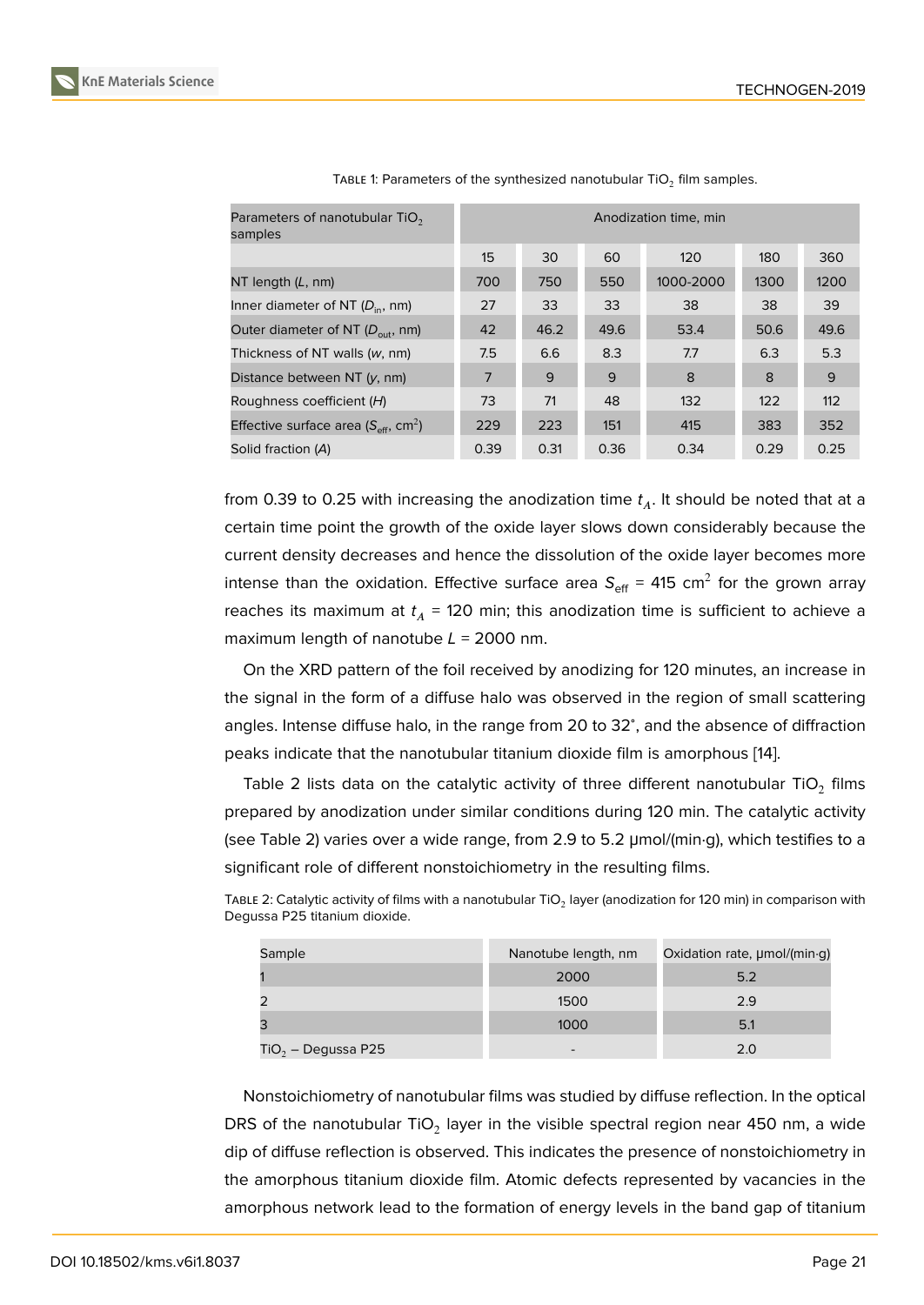| Parameters of nanotubular $TiO2$<br>samples                   | Anodization time, min |      |      |           |      |      |
|---------------------------------------------------------------|-----------------------|------|------|-----------|------|------|
|                                                               | 15                    | 30   | 60   | 120       | 180  | 360  |
| NT length $(L, nm)$                                           | 700                   | 750  | 550  | 1000-2000 | 1300 | 1200 |
| Inner diameter of NT $(D_{in}, nm)$                           | 27                    | 33   | 33   | 38        | 38   | 39   |
| Outer diameter of NT $(D_{out}, nm)$                          | 42                    | 46.2 | 49.6 | 53.4      | 50.6 | 49.6 |
| Thickness of NT walls $(w, nm)$                               | 7.5                   | 6.6  | 8.3  | 7.7       | 6.3  | 5.3  |
| Distance between NT $(y, nm)$                                 | 7                     | 9    | 9    | 8         | 8    | 9    |
| Roughness coefficient (H)                                     | 73                    | 71   | 48   | 132       | 122  | 112  |
| Effective surface area ( $S_{\text{eff}}$ , cm <sup>2</sup> ) | 229                   | 223  | 151  | 415       | 383  | 352  |
| Solid fraction (A)                                            | 0.39                  | 0.31 | 0.36 | 0.34      | 0.29 | 0.25 |

TABLE 1: Parameters of the synthesized nanotubular TiO $_2$  film samples.

from 0.39 to 0.25 with increasing the anodization time  $t_A$ . It should be noted that at a certain time point the growth of the oxide layer slows down considerably because the current density decreases and hence the dissolution of the oxide layer becomes more intense than the oxidation. Effective surface area  $\mathsf{S}_\text{eff}$  = 415 cm $^2$  for the grown array reaches its maximum at  $t_A$  = 120 min; this anodization time is sufficient to achieve a maximum length of nanotube *L* = 2000 nm.

On the XRD pattern of the foil received by anodizing for 120 minutes, an increase in the signal in the form of a diffuse halo was observed in the region of small scattering angles. Intense diffuse halo, in the range from 20 to 32<sup>∘</sup> , and the absence of diffraction peaks indicate that the nanotubular titanium dioxide film is amorphous [14].

Table 2 lists data on the catalytic activity of three different nanotubular TiO $_2$  films prepared by anodization under similar conditions during 120 min. The catalytic activity (see Table 2) varies over a wide range, from 2.9 to 5.2 μmol/(min·g), whi[ch](#page-4-4) testifies to a significant role of different nonstoichiometry in the resulting films.

| Sample | Nanotube length, nm | Oxidation rate, µmol/(min·g) |
|--------|---------------------|------------------------------|
|        | 2000                | 5.2                          |
|        | 1500                | 2.9                          |
|        | 1000                |                              |

TABLE 2: Catalytic activity of films with a nanotubular TiO $_2$  layer (anodization for 120 min) in comparison with Degussa P25 titanium dioxide.

 $TiO<sub>2</sub> - Degussa P25$  2.0

Nonstoichiometry of nanotubular films was studied by diffuse reflection. In the optical DRS of the nanotubular TiO $_2$  layer in the visible spectral region near 450 nm, a wide dip of diffuse reflection is observed. This indicates the presence of nonstoichiometry in the amorphous titanium dioxide film. Atomic defects represented by vacancies in the amorphous network lead to the formation of energy levels in the band gap of titanium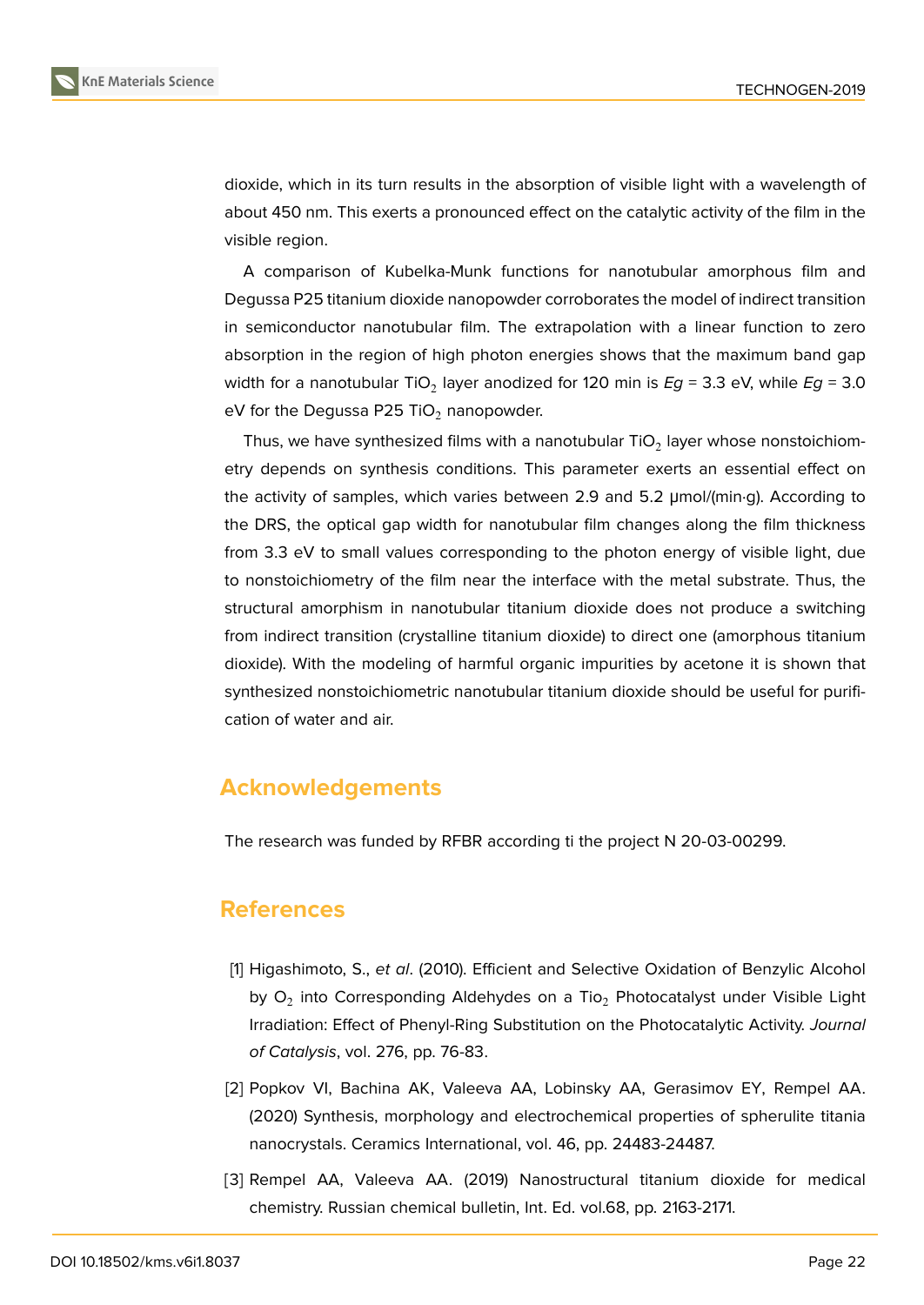

dioxide, which in its turn results in the absorption of visible light with a wavelength of about 450 nm. This exerts a pronounced effect on the catalytic activity of the film in the visible region.

A comparison of Kubelka-Munk functions for nanotubular amorphous film and Degussa P25 titanium dioxide nanopowder corroborates the model of indirect transition in semiconductor nanotubular film. The extrapolation with a linear function to zero absorption in the region of high photon energies shows that the maximum band gap width for a nanotubular TiO<sub>2</sub> layer anodized for 120 min is  $E$ g = 3.3 eV, while  $E$ g = 3.0 eV for the Degussa P25 TiO<sub>2</sub> nanopowder.

Thus, we have synthesized films with a nanotubular TiO<sub>2</sub> layer whose nonstoichiometry depends on synthesis conditions. This parameter exerts an essential effect on the activity of samples, which varies between 2.9 and 5.2 μmol/(min·g). According to the DRS, the optical gap width for nanotubular film changes along the film thickness from 3.3 eV to small values corresponding to the photon energy of visible light, due to nonstoichiometry of the film near the interface with the metal substrate. Thus, the structural amorphism in nanotubular titanium dioxide does not produce a switching from indirect transition (crystalline titanium dioxide) to direct one (amorphous titanium dioxide). With the modeling of harmful organic impurities by acetone it is shown that synthesized nonstoichiometric nanotubular titanium dioxide should be useful for purification of water and air.

### **Acknowledgements**

The research was funded by RFBR according ti the project N 20-03-00299.

### **References**

- <span id="page-3-0"></span>[1] Higashimoto, S., *et al*. (2010). Efficient and Selective Oxidation of Benzylic Alcohol by  ${\mathsf O}_2$  into Corresponding Aldehydes on a Tio $_2$  Photocatalyst under Visible Light Irradiation: Effect of Phenyl-Ring Substitution on the Photocatalytic Activity. *Journal of Catalysis*, vol. 276, pp. 76-83.
- [2] Popkov VI, Bachina AK, Valeeva AA, Lobinsky AA, Gerasimov EY, Rempel AA. (2020) Synthesis, morphology and electrochemical properties of spherulite titania nanocrystals. Ceramics International, vol. 46, pp. 24483-24487.
- [3] Rempel AA, Valeeva AA. (2019) Nanostructural titanium dioxide for medical chemistry. Russian chemical bulletin, Int. Ed. vol.68, pp. 2163-2171.